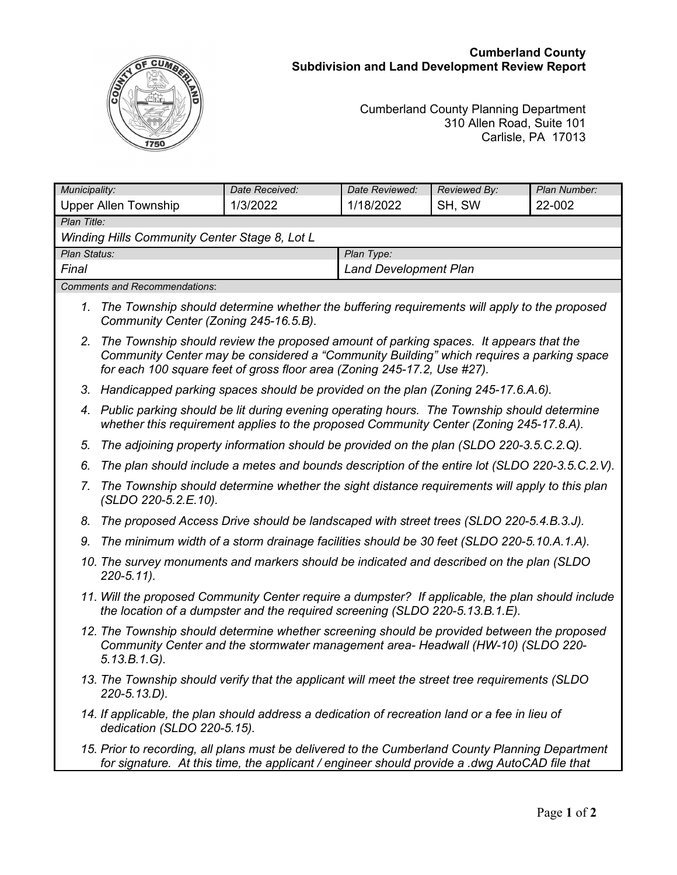## **Cumberland County Subdivision and Land Development Review Report**



## Cumberland County Planning Department 310 Allen Road, Suite 101 Carlisle, PA 17013

| Municipality:                                        | Date Received: | Date Reviewed:               | Reviewed By: | Plan Number: |
|------------------------------------------------------|----------------|------------------------------|--------------|--------------|
| Upper Allen Township                                 | 1/3/2022       | 1/18/2022                    | SH, SW       | 22-002       |
| Plan Title:                                          |                |                              |              |              |
| <b>Winding Hills Community Center Stage 8, Lot L</b> |                |                              |              |              |
| Plan Status:                                         |                | Plan Type:                   |              |              |
| Final                                                |                | <b>Land Development Plan</b> |              |              |
| Comments and Recommendations:                        |                |                              |              |              |

- *1. The Township should determine whether the buffering requirements will apply to the proposed Community Center (Zoning 245-16.5.B).*
- *2. The Township should review the proposed amount of parking spaces. It appears that the Community Center may be considered a "Community Building" which requires a parking space for each 100 square feet of gross floor area (Zoning 245-17.2, Use #27).*
- *3. Handicapped parking spaces should be provided on the plan (Zoning 245-17.6.A.6).*
- *4. Public parking should be lit during evening operating hours. The Township should determine whether this requirement applies to the proposed Community Center (Zoning 245-17.8.A).*
- *5. The adjoining property information should be provided on the plan (SLDO 220-3.5.C.2.Q).*
- *6. The plan should include a metes and bounds description of the entire lot (SLDO 220-3.5.C.2.V).*
- *7. The Township should determine whether the sight distance requirements will apply to this plan (SLDO 220-5.2.E.10).*
- *8. The proposed Access Drive should be landscaped with street trees (SLDO 220-5.4.B.3.J).*
- *9. The minimum width of a storm drainage facilities should be 30 feet (SLDO 220-5.10.A.1.A).*
- *10. The survey monuments and markers should be indicated and described on the plan (SLDO 220-5.11).*
- *11. Will the proposed Community Center require a dumpster? If applicable, the plan should include the location of a dumpster and the required screening (SLDO 220-5.13.B.1.E).*
- *12. The Township should determine whether screening should be provided between the proposed Community Center and the stormwater management area- Headwall (HW-10) (SLDO 220- 5.13.B.1.G).*
- *13. The Township should verify that the applicant will meet the street tree requirements (SLDO 220-5.13.D).*
- *14. If applicable, the plan should address a dedication of recreation land or a fee in lieu of dedication (SLDO 220-5.15).*
- *15. Prior to recording, all plans must be delivered to the Cumberland County Planning Department for signature. At this time, the applicant / engineer should provide a .dwg AutoCAD file that*